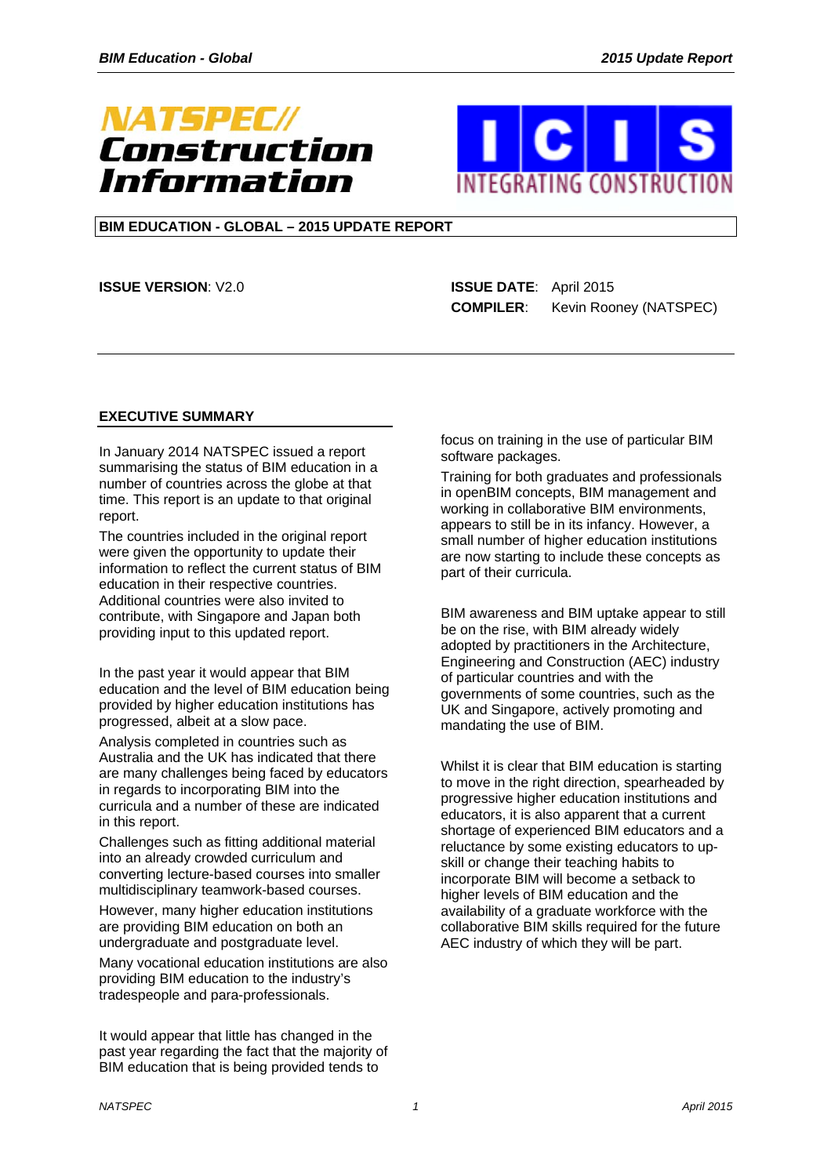



## **BIM EDUCATION - GLOBAL – 2015 UPDATE REPORT**

**ISSUE VERSION**: V2.0 **ISSUE DATE**:April 2015

 **COMPILER**: Kevin Rooney (NATSPEC)

#### **EXECUTIVE SUMMARY**

In January 2014 NATSPEC issued a report summarising the status of BIM education in a number of countries across the globe at that time. This report is an update to that original report.

The countries included in the original report were given the opportunity to update their information to reflect the current status of BIM education in their respective countries. Additional countries were also invited to contribute, with Singapore and Japan both providing input to this updated report.

In the past year it would appear that BIM education and the level of BIM education being provided by higher education institutions has progressed, albeit at a slow pace.

Analysis completed in countries such as Australia and the UK has indicated that there are many challenges being faced by educators in regards to incorporating BIM into the curricula and a number of these are indicated in this report.

Challenges such as fitting additional material into an already crowded curriculum and converting lecture-based courses into smaller multidisciplinary teamwork-based courses.

However, many higher education institutions are providing BIM education on both an undergraduate and postgraduate level.

Many vocational education institutions are also providing BIM education to the industry's tradespeople and para-professionals.

It would appear that little has changed in the past year regarding the fact that the majority of BIM education that is being provided tends to

focus on training in the use of particular BIM software packages.

Training for both graduates and professionals in openBIM concepts, BIM management and working in collaborative BIM environments, appears to still be in its infancy. However, a small number of higher education institutions are now starting to include these concepts as part of their curricula.

BIM awareness and BIM uptake appear to still be on the rise, with BIM already widely adopted by practitioners in the Architecture, Engineering and Construction (AEC) industry of particular countries and with the governments of some countries, such as the UK and Singapore, actively promoting and mandating the use of BIM.

Whilst it is clear that BIM education is starting to move in the right direction, spearheaded by progressive higher education institutions and educators, it is also apparent that a current shortage of experienced BIM educators and a reluctance by some existing educators to upskill or change their teaching habits to incorporate BIM will become a setback to higher levels of BIM education and the availability of a graduate workforce with the collaborative BIM skills required for the future AEC industry of which they will be part.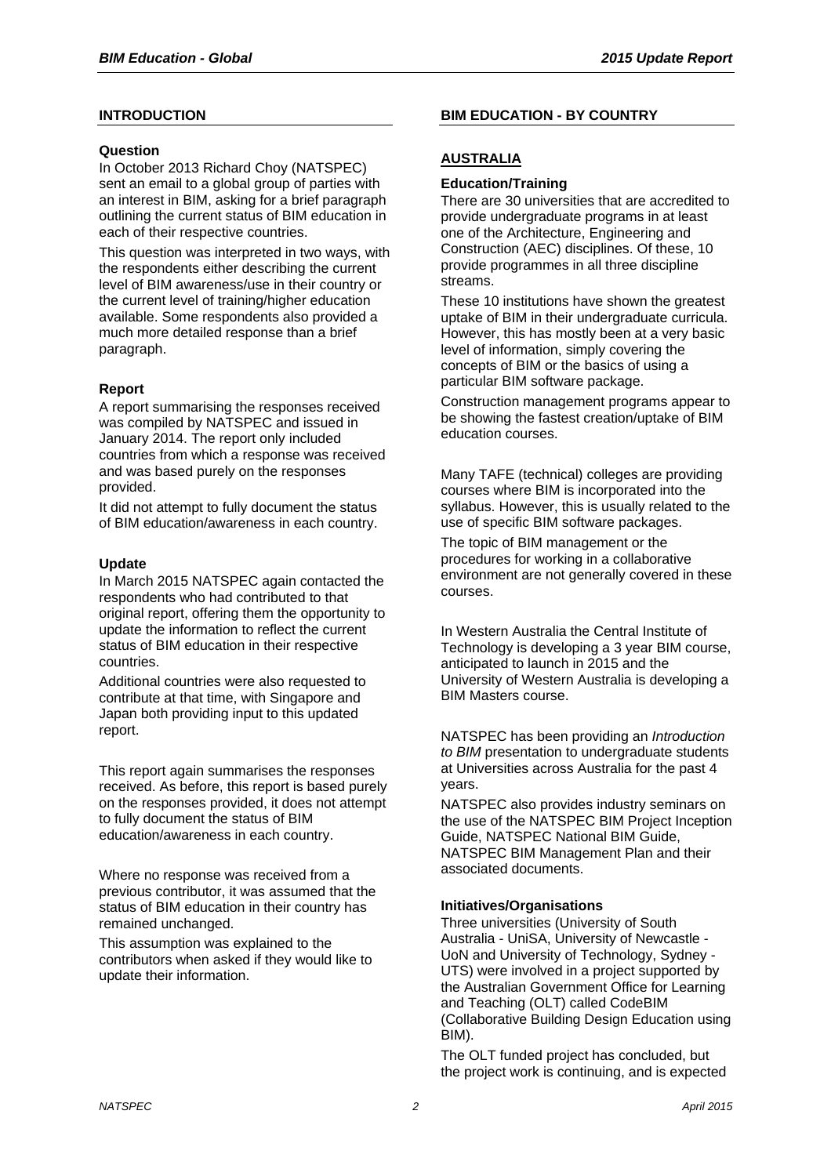## **INTRODUCTION**

#### **Question**

In October 2013 Richard Choy (NATSPEC) sent an email to a global group of parties with an interest in BIM, asking for a brief paragraph outlining the current status of BIM education in each of their respective countries.

This question was interpreted in two ways, with the respondents either describing the current level of BIM awareness/use in their country or the current level of training/higher education available. Some respondents also provided a much more detailed response than a brief paragraph.

## **Report**

A report summarising the responses received was compiled by NATSPEC and issued in January 2014. The report only included countries from which a response was received and was based purely on the responses provided.

It did not attempt to fully document the status of BIM education/awareness in each country.

## **Update**

In March 2015 NATSPEC again contacted the respondents who had contributed to that original report, offering them the opportunity to update the information to reflect the current status of BIM education in their respective countries.

Additional countries were also requested to contribute at that time, with Singapore and Japan both providing input to this updated report.

This report again summarises the responses received. As before, this report is based purely on the responses provided, it does not attempt to fully document the status of BIM education/awareness in each country.

Where no response was received from a previous contributor, it was assumed that the status of BIM education in their country has remained unchanged.

This assumption was explained to the contributors when asked if they would like to update their information.

## **BIM EDUCATION - BY COUNTRY**

## **AUSTRALIA**

#### **Education/Training**

There are 30 universities that are accredited to provide undergraduate programs in at least one of the Architecture, Engineering and Construction (AEC) disciplines. Of these, 10 provide programmes in all three discipline streams.

These 10 institutions have shown the greatest uptake of BIM in their undergraduate curricula. However, this has mostly been at a very basic level of information, simply covering the concepts of BIM or the basics of using a particular BIM software package.

Construction management programs appear to be showing the fastest creation/uptake of BIM education courses.

Many TAFE (technical) colleges are providing courses where BIM is incorporated into the syllabus. However, this is usually related to the use of specific BIM software packages.

The topic of BIM management or the procedures for working in a collaborative environment are not generally covered in these courses.

In Western Australia the Central Institute of Technology is developing a 3 year BIM course, anticipated to launch in 2015 and the University of Western Australia is developing a BIM Masters course.

NATSPEC has been providing an *Introduction to BIM* presentation to undergraduate students at Universities across Australia for the past 4 years.

NATSPEC also provides industry seminars on the use of the NATSPEC BIM Project Inception Guide, NATSPEC National BIM Guide, NATSPEC BIM Management Plan and their associated documents.

## **Initiatives/Organisations**

Three universities (University of South Australia - UniSA, University of Newcastle - UoN and University of Technology, Sydney - UTS) were involved in a project supported by the Australian Government Office for Learning and Teaching (OLT) called CodeBIM (Collaborative Building Design Education using BIM).

The OLT funded project has concluded, but the project work is continuing, and is expected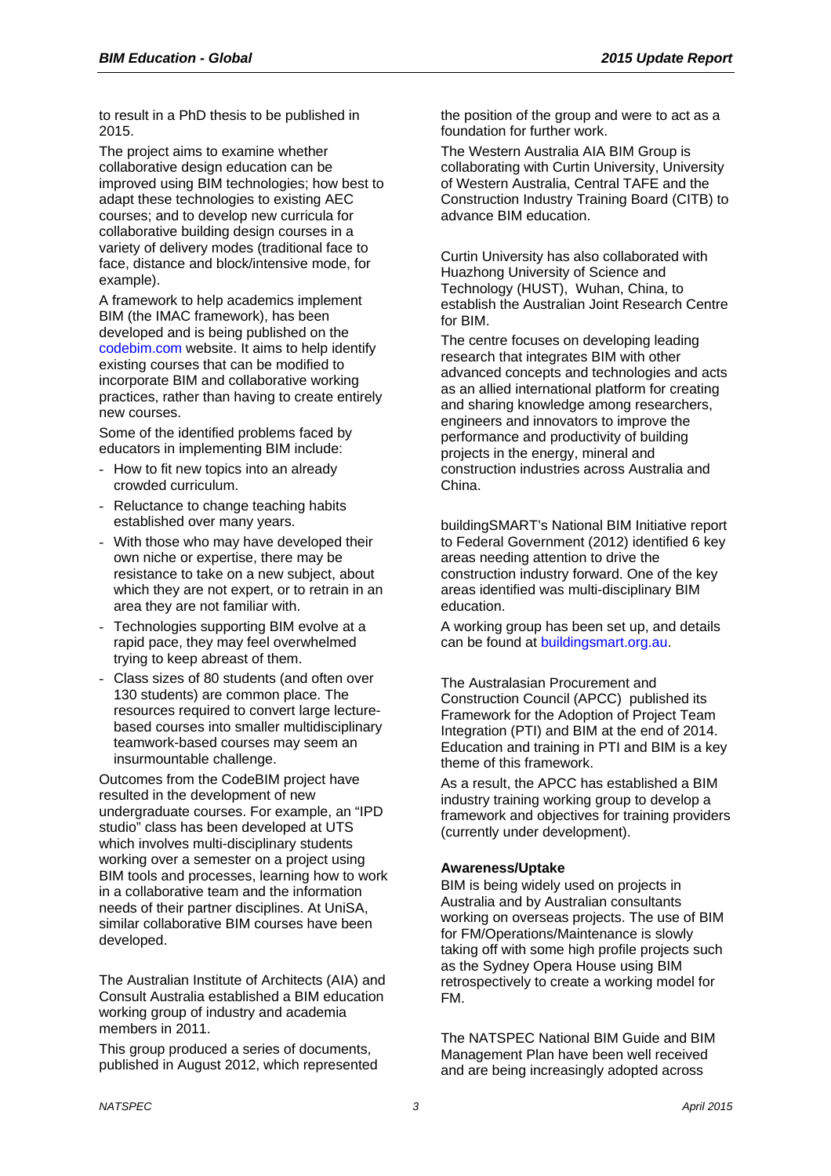to result in a PhD thesis to be published in 2015.

The project aims to examine whether collaborative design education can be improved using BIM technologies; how best to adapt these technologies to existing AEC courses; and to develop new curricula for collaborative building design courses in a variety of delivery modes (traditional face to face, distance and block/intensive mode, for example).

A framework to help academics implement BIM (the IMAC framework), has been developed and is being published on the codebim.com website. It aims to help identify existing courses that can be modified to incorporate BIM and collaborative working practices, rather than having to create entirely new courses.

Some of the identified problems faced by educators in implementing BIM include:

- How to fit new topics into an already crowded curriculum.
- Reluctance to change teaching habits established over many years.
- With those who may have developed their own niche or expertise, there may be resistance to take on a new subject, about which they are not expert, or to retrain in an area they are not familiar with.
- Technologies supporting BIM evolve at a rapid pace, they may feel overwhelmed trying to keep abreast of them.
- Class sizes of 80 students (and often over 130 students) are common place. The resources required to convert large lecturebased courses into smaller multidisciplinary teamwork-based courses may seem an insurmountable challenge.

Outcomes from the CodeBIM project have resulted in the development of new undergraduate courses. For example, an "IPD studio" class has been developed at UTS which involves multi-disciplinary students working over a semester on a project using BIM tools and processes, learning how to work in a collaborative team and the information needs of their partner disciplines. At UniSA, similar collaborative BIM courses have been developed.

The Australian Institute of Architects (AIA) and Consult Australia established a BIM education working group of industry and academia members in 2011.

This group produced a series of documents, published in August 2012, which represented the position of the group and were to act as a foundation for further work.

The Western Australia AIA BIM Group is collaborating with Curtin University, University of Western Australia, Central TAFE and the Construction Industry Training Board (CITB) to advance BIM education.

Curtin University has also collaborated with Huazhong University of Science and Technology (HUST), Wuhan, China, to establish the Australian Joint Research Centre for BIM.

The centre focuses on developing leading research that integrates BIM with other advanced concepts and technologies and acts as an allied international platform for creating and sharing knowledge among researchers, engineers and innovators to improve the performance and productivity of building projects in the energy, mineral and construction industries across Australia and China.

buildingSMART's National BIM Initiative report to Federal Government (2012) identified 6 key areas needing attention to drive the construction industry forward. One of the key areas identified was multi-disciplinary BIM education.

A working group has been set up, and details can be found at buildingsmart.org.au.

The Australasian Procurement and Construction Council (APCC) published its Framework for the Adoption of Project Team Integration (PTI) and BIM at the end of 2014. Education and training in PTI and BIM is a key theme of this framework.

As a result, the APCC has established a BIM industry training working group to develop a framework and objectives for training providers (currently under development).

## **Awareness/Uptake**

BIM is being widely used on projects in Australia and by Australian consultants working on overseas projects. The use of BIM for FM/Operations/Maintenance is slowly taking off with some high profile projects such as the Sydney Opera House using BIM retrospectively to create a working model for FM.

The NATSPEC National BIM Guide and BIM Management Plan have been well received and are being increasingly adopted across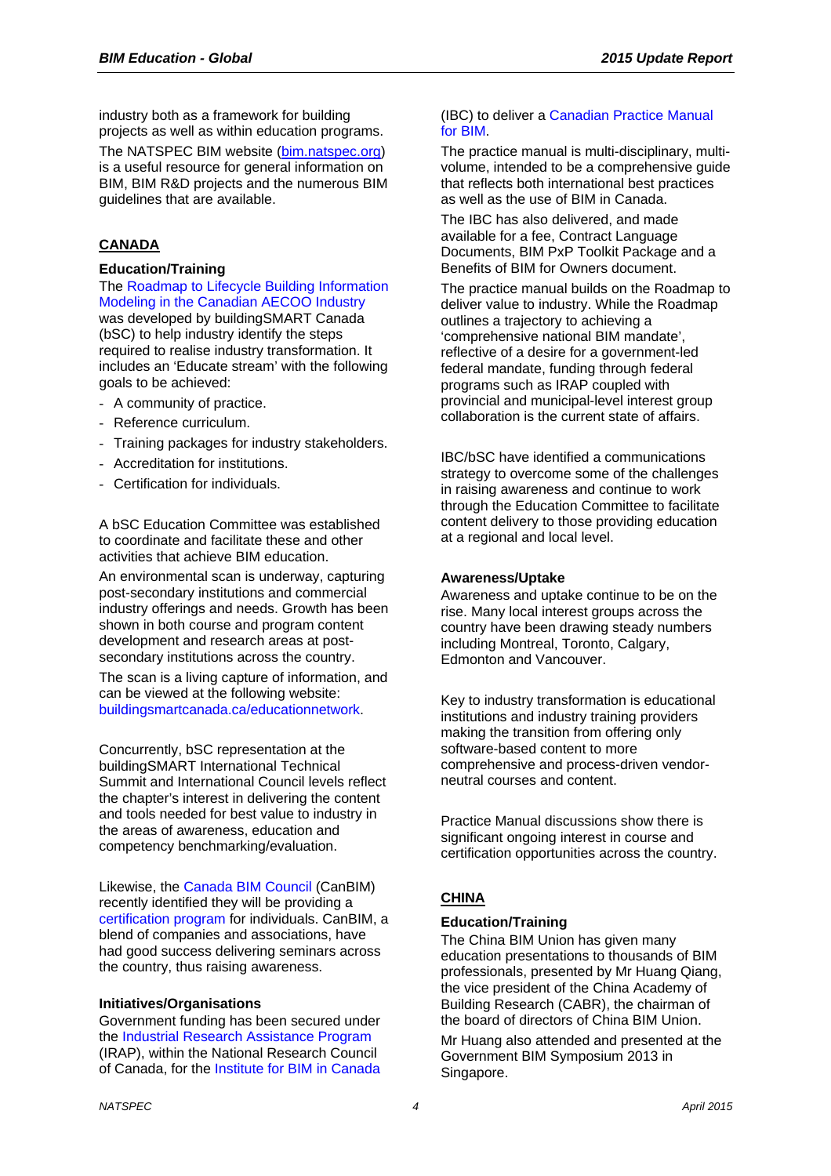industry both as a framework for building projects as well as within education programs.

The NATSPEC BIM website (bim.natspec.org) is a useful resource for general information on BIM, BIM R&D projects and the numerous BIM guidelines that are available.

## **CANADA**

#### **Education/Training**

The Roadmap to Lifecycle Building Information Modeling in the Canadian AECOO Industry

was developed by buildingSMART Canada (bSC) to help industry identify the steps required to realise industry transformation. It includes an 'Educate stream' with the following goals to be achieved:

- A community of practice.
- Reference curriculum.
- Training packages for industry stakeholders.
- Accreditation for institutions.
- Certification for individuals.

A bSC Education Committee was established to coordinate and facilitate these and other activities that achieve BIM education.

An environmental scan is underway, capturing post-secondary institutions and commercial industry offerings and needs. Growth has been shown in both course and program content development and research areas at postsecondary institutions across the country.

The scan is a living capture of information, and can be viewed at the following website: buildingsmartcanada.ca/educationnetwork.

Concurrently, bSC representation at the buildingSMART International Technical Summit and International Council levels reflect the chapter's interest in delivering the content and tools needed for best value to industry in the areas of awareness, education and competency benchmarking/evaluation.

Likewise, the Canada BIM Council (CanBIM) recently identified they will be providing a certification program for individuals. CanBIM, a blend of companies and associations, have had good success delivering seminars across the country, thus raising awareness.

## **Initiatives/Organisations**

Government funding has been secured under the Industrial Research Assistance Program (IRAP), within the National Research Council of Canada, for the Institute for BIM in Canada

#### (IBC) to deliver a Canadian Practice Manual for BIM.

The practice manual is multi-disciplinary, multivolume, intended to be a comprehensive guide that reflects both international best practices as well as the use of BIM in Canada.

The IBC has also delivered, and made available for a fee, Contract Language Documents, BIM PxP Toolkit Package and a Benefits of BIM for Owners document.

The practice manual builds on the Roadmap to deliver value to industry. While the Roadmap outlines a trajectory to achieving a 'comprehensive national BIM mandate', reflective of a desire for a government-led federal mandate, funding through federal programs such as IRAP coupled with provincial and municipal-level interest group collaboration is the current state of affairs.

IBC/bSC have identified a communications strategy to overcome some of the challenges in raising awareness and continue to work through the Education Committee to facilitate content delivery to those providing education at a regional and local level.

#### **Awareness/Uptake**

Awareness and uptake continue to be on the rise. Many local interest groups across the country have been drawing steady numbers including Montreal, Toronto, Calgary, Edmonton and Vancouver.

Key to industry transformation is educational institutions and industry training providers making the transition from offering only software-based content to more comprehensive and process-driven vendorneutral courses and content.

Practice Manual discussions show there is significant ongoing interest in course and certification opportunities across the country.

## **CHINA**

## **Education/Training**

The China BIM Union has given many education presentations to thousands of BIM professionals, presented by Mr Huang Qiang, the vice president of the China Academy of Building Research (CABR), the chairman of the board of directors of China BIM Union.

Mr Huang also attended and presented at the Government BIM Symposium 2013 in Singapore.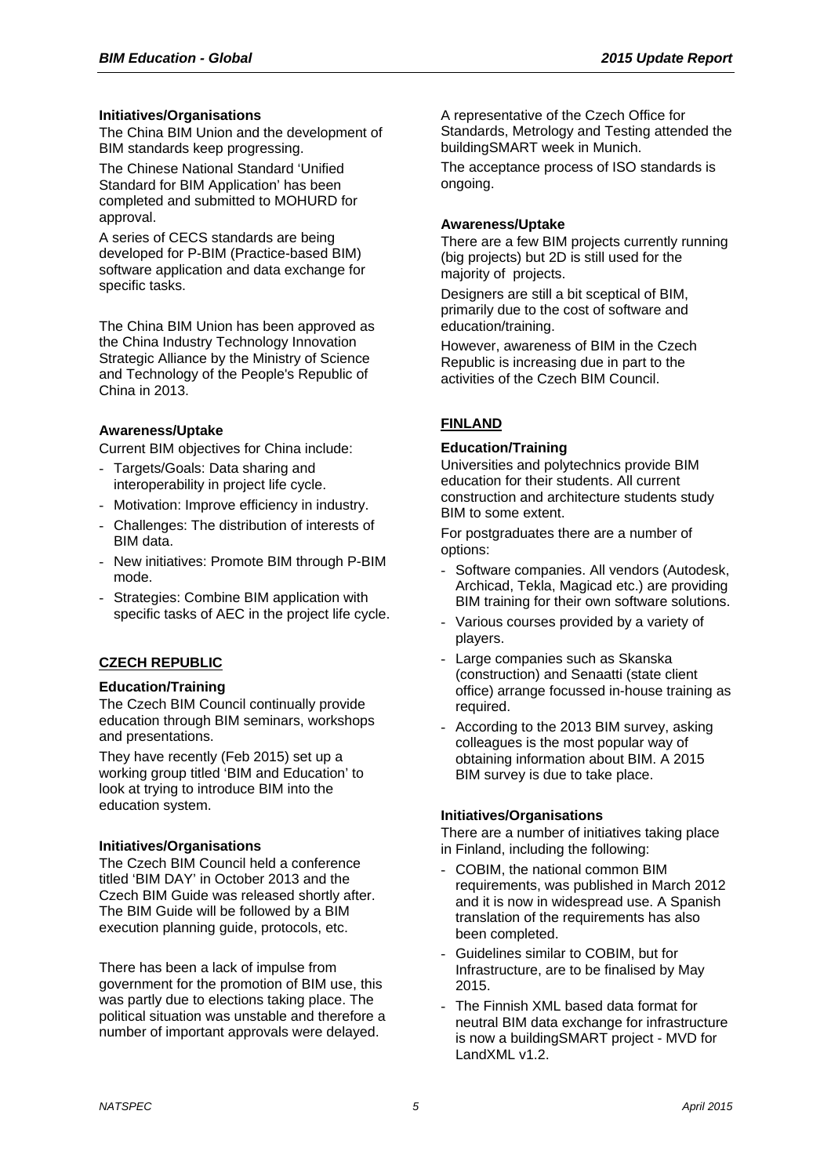## **Initiatives/Organisations**

The China BIM Union and the development of BIM standards keep progressing.

The Chinese National Standard 'Unified Standard for BIM Application' has been completed and submitted to MOHURD for approval.

A series of CECS standards are being developed for P-BIM (Practice-based BIM) software application and data exchange for specific tasks.

The China BIM Union has been approved as the China Industry Technology Innovation Strategic Alliance by the Ministry of Science and Technology of the People's Republic of China in 2013.

## **Awareness/Uptake**

Current BIM objectives for China include:

- Targets/Goals: Data sharing and interoperability in project life cycle.
- Motivation: Improve efficiency in industry.
- Challenges: The distribution of interests of BIM data.
- New initiatives: Promote BIM through P-BIM mode.
- Strategies: Combine BIM application with specific tasks of AEC in the project life cycle.

## **CZECH REPUBLIC**

## **Education/Training**

The Czech BIM Council continually provide education through BIM seminars, workshops and presentations.

They have recently (Feb 2015) set up a working group titled 'BIM and Education' to look at trying to introduce BIM into the education system.

## **Initiatives/Organisations**

The Czech BIM Council held a conference titled 'BIM DAY' in October 2013 and the Czech BIM Guide was released shortly after. The BIM Guide will be followed by a BIM execution planning guide, protocols, etc.

There has been a lack of impulse from government for the promotion of BIM use, this was partly due to elections taking place. The political situation was unstable and therefore a number of important approvals were delayed.

A representative of the Czech Office for Standards, Metrology and Testing attended the buildingSMART week in Munich.

The acceptance process of ISO standards is ongoing.

#### **Awareness/Uptake**

There are a few BIM projects currently running (big projects) but 2D is still used for the majority of projects.

Designers are still a bit sceptical of BIM, primarily due to the cost of software and education/training.

However, awareness of BIM in the Czech Republic is increasing due in part to the activities of the Czech BIM Council.

# **FINLAND**

## **Education/Training**

Universities and polytechnics provide BIM education for their students. All current construction and architecture students study BIM to some extent.

For postgraduates there are a number of options:

- Software companies. All vendors (Autodesk, Archicad, Tekla, Magicad etc.) are providing BIM training for their own software solutions.
- Various courses provided by a variety of players.
- Large companies such as Skanska (construction) and Senaatti (state client office) arrange focussed in-house training as required.
- According to the 2013 BIM survey, asking colleagues is the most popular way of obtaining information about BIM. A 2015 BIM survey is due to take place.

## **Initiatives/Organisations**

There are a number of initiatives taking place in Finland, including the following:

- COBIM, the national common BIM requirements, was published in March 2012 and it is now in widespread use. A Spanish translation of the requirements has also been completed.
- Guidelines similar to COBIM, but for Infrastructure, are to be finalised by May 2015.
- The Finnish XML based data format for neutral BIM data exchange for infrastructure is now a buildingSMART project - MVD for LandXML v1.2.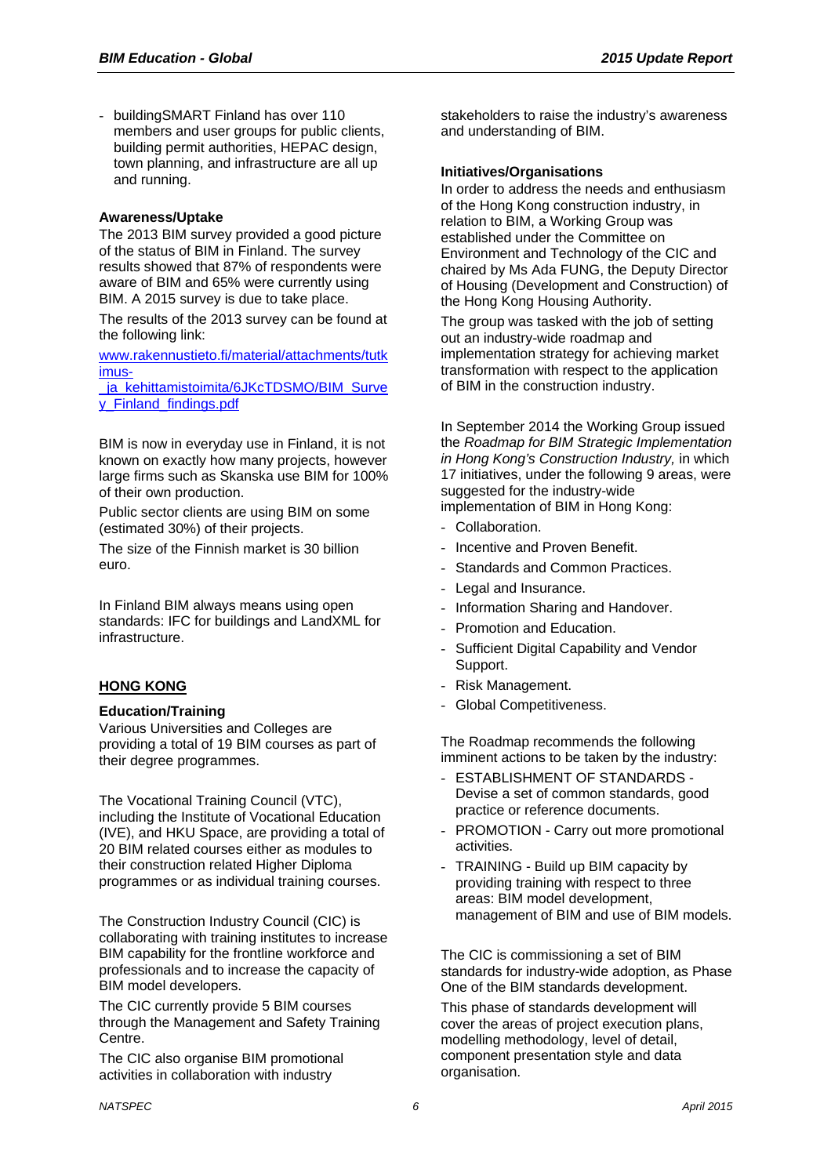- buildingSMART Finland has over 110 members and user groups for public clients, building permit authorities, HEPAC design, town planning, and infrastructure are all up and running.

## **Awareness/Uptake**

The 2013 BIM survey provided a good picture of the status of BIM in Finland. The survey results showed that 87% of respondents were aware of BIM and 65% were currently using BIM. A 2015 survey is due to take place.

The results of the 2013 survey can be found at the following link:

www.rakennustieto.fi/material/attachments/tutk imus-

ja kehittamistoimita/6JKcTDSMO/BIM\_Surve y\_Finland\_findings.pdf

BIM is now in everyday use in Finland, it is not known on exactly how many projects, however large firms such as Skanska use BIM for 100% of their own production.

Public sector clients are using BIM on some (estimated 30%) of their projects.

The size of the Finnish market is 30 billion euro.

In Finland BIM always means using open standards: IFC for buildings and LandXML for infrastructure.

## **HONG KONG**

## **Education/Training**

Various Universities and Colleges are providing a total of 19 BIM courses as part of their degree programmes.

The Vocational Training Council (VTC), including the Institute of Vocational Education (IVE), and HKU Space, are providing a total of 20 BIM related courses either as modules to their construction related Higher Diploma programmes or as individual training courses.

The Construction Industry Council (CIC) is collaborating with training institutes to increase BIM capability for the frontline workforce and professionals and to increase the capacity of BIM model developers.

The CIC currently provide 5 BIM courses through the Management and Safety Training Centre.

The CIC also organise BIM promotional activities in collaboration with industry

stakeholders to raise the industry's awareness and understanding of BIM.

#### **Initiatives/Organisations**

In order to address the needs and enthusiasm of the Hong Kong construction industry, in relation to BIM, a Working Group was established under the Committee on Environment and Technology of the CIC and chaired by Ms Ada FUNG, the Deputy Director of Housing (Development and Construction) of the Hong Kong Housing Authority.

The group was tasked with the job of setting out an industry-wide roadmap and implementation strategy for achieving market transformation with respect to the application of BIM in the construction industry.

In September 2014 the Working Group issued the *Roadmap for BIM Strategic Implementation in Hong Kong's Construction Industry,* in which 17 initiatives, under the following 9 areas, were suggested for the industry-wide

implementation of BIM in Hong Kong:

- Collaboration.
- Incentive and Proven Benefit
- Standards and Common Practices.
- Legal and Insurance.
- Information Sharing and Handover.
- Promotion and Education.
- Sufficient Digital Capability and Vendor Support.
- Risk Management.
- Global Competitiveness.

The Roadmap recommends the following imminent actions to be taken by the industry:

- ESTABLISHMENT OF STANDARDS Devise a set of common standards, good practice or reference documents.
- PROMOTION Carry out more promotional activities.
- TRAINING Build up BIM capacity by providing training with respect to three areas: BIM model development, management of BIM and use of BIM models.

The CIC is commissioning a set of BIM standards for industry-wide adoption, as Phase One of the BIM standards development.

This phase of standards development will cover the areas of project execution plans, modelling methodology, level of detail, component presentation style and data organisation.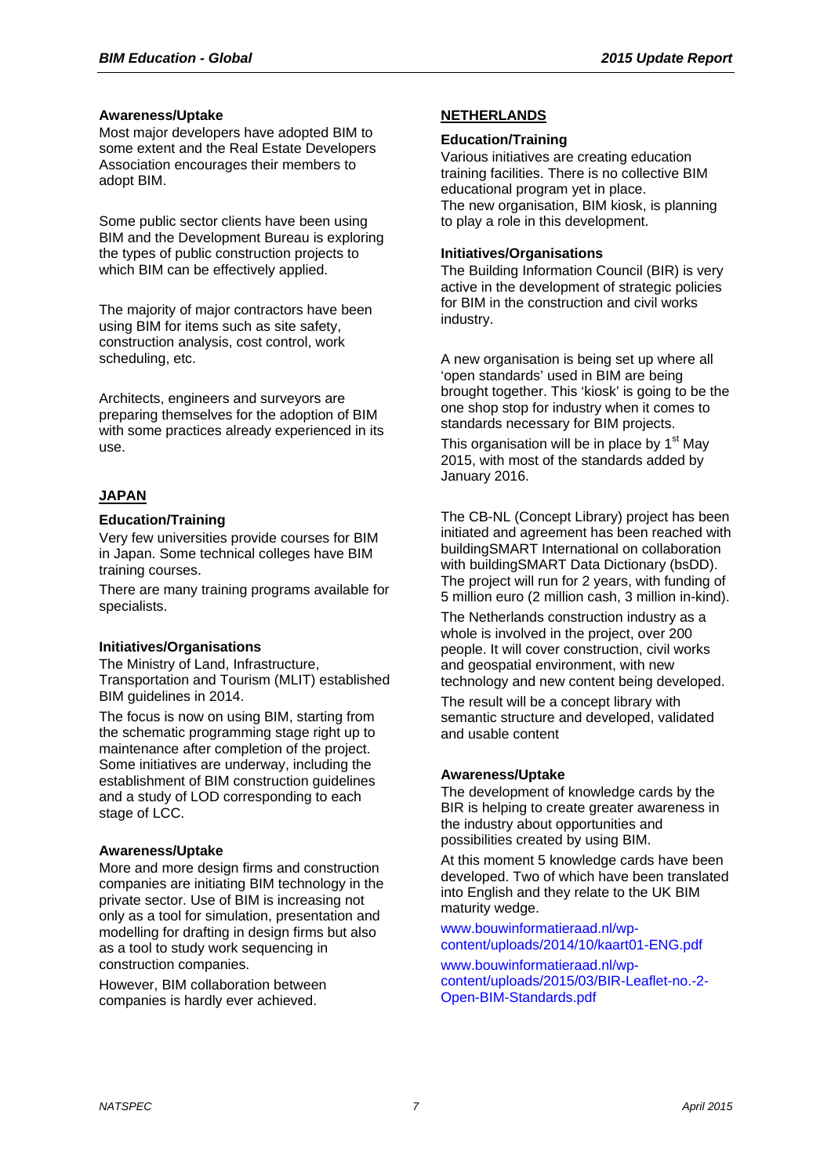#### **Awareness/Uptake**

Most major developers have adopted BIM to some extent and the Real Estate Developers Association encourages their members to adopt BIM.

Some public sector clients have been using BIM and the Development Bureau is exploring the types of public construction projects to which BIM can be effectively applied.

The majority of major contractors have been using BIM for items such as site safety, construction analysis, cost control, work scheduling, etc.

Architects, engineers and surveyors are preparing themselves for the adoption of BIM with some practices already experienced in its use.

## **JAPAN**

## **Education/Training**

Very few universities provide courses for BIM in Japan. Some technical colleges have BIM training courses.

There are many training programs available for specialists.

## **Initiatives/Organisations**

The Ministry of Land, Infrastructure, Transportation and Tourism (MLIT) established BIM guidelines in 2014.

The focus is now on using BIM, starting from the schematic programming stage right up to maintenance after completion of the project. Some initiatives are underway, including the establishment of BIM construction guidelines and a study of LOD corresponding to each stage of LCC.

## **Awareness/Uptake**

More and more design firms and construction companies are initiating BIM technology in the private sector. Use of BIM is increasing not only as a tool for simulation, presentation and modelling for drafting in design firms but also as a tool to study work sequencing in construction companies.

However, BIM collaboration between companies is hardly ever achieved.

#### **NETHERLANDS**

#### **Education/Training**

Various initiatives are creating education training facilities. There is no collective BIM educational program yet in place. The new organisation, BIM kiosk, is planning to play a role in this development.

## **Initiatives/Organisations**

The Building Information Council (BIR) is very active in the development of strategic policies for BIM in the construction and civil works industry.

A new organisation is being set up where all 'open standards' used in BIM are being brought together. This 'kiosk' is going to be the one shop stop for industry when it comes to standards necessary for BIM projects.

This organisation will be in place by  $1<sup>st</sup>$  May 2015, with most of the standards added by January 2016.

The CB-NL (Concept Library) project has been initiated and agreement has been reached with buildingSMART International on collaboration with buildingSMART Data Dictionary (bsDD). The project will run for 2 years, with funding of 5 million euro (2 million cash, 3 million in-kind).

The Netherlands construction industry as a whole is involved in the project, over 200 people. It will cover construction, civil works and geospatial environment, with new technology and new content being developed.

The result will be a concept library with semantic structure and developed, validated and usable content

## **Awareness/Uptake**

The development of knowledge cards by the BIR is helping to create greater awareness in the industry about opportunities and possibilities created by using BIM.

At this moment 5 knowledge cards have been developed. Two of which have been translated into English and they relate to the UK BIM maturity wedge.

www.bouwinformatieraad.nl/wpcontent/uploads/2014/10/kaart01-ENG.pdf

www.bouwinformatieraad.nl/wpcontent/uploads/2015/03/BIR-Leaflet-no.-2- Open-BIM-Standards.pdf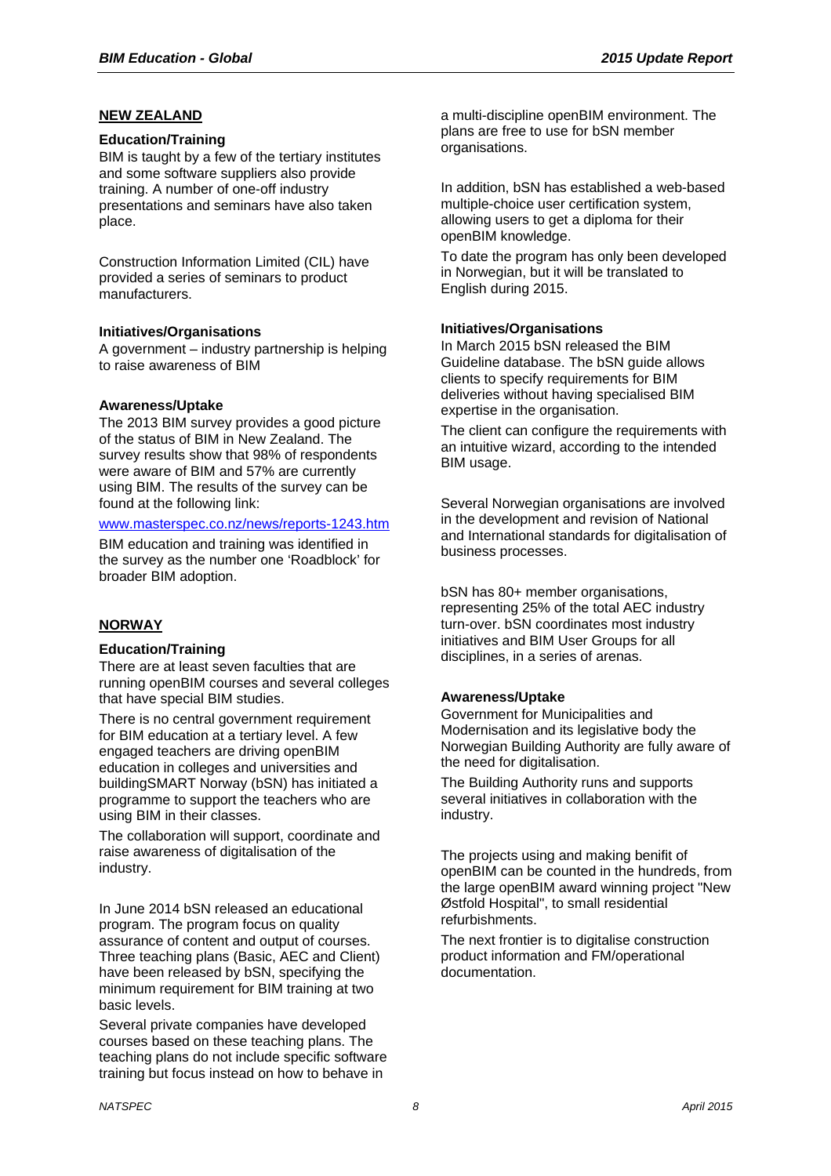## **NEW ZEALAND**

#### **Education/Training**

BIM is taught by a few of the tertiary institutes and some software suppliers also provide training. A number of one-off industry presentations and seminars have also taken place.

Construction Information Limited (CIL) have provided a series of seminars to product manufacturers.

#### **Initiatives/Organisations**

A government – industry partnership is helping to raise awareness of BIM

## **Awareness/Uptake**

The 2013 BIM survey provides a good picture of the status of BIM in New Zealand. The survey results show that 98% of respondents were aware of BIM and 57% are currently using BIM. The results of the survey can be found at the following link:

#### www.masterspec.co.nz/news/reports-1243.htm

BIM education and training was identified in the survey as the number one 'Roadblock' for broader BIM adoption.

## **NORWAY**

## **Education/Training**

There are at least seven faculties that are running openBIM courses and several colleges that have special BIM studies.

There is no central government requirement for BIM education at a tertiary level. A few engaged teachers are driving openBIM education in colleges and universities and buildingSMART Norway (bSN) has initiated a programme to support the teachers who are using BIM in their classes.

The collaboration will support, coordinate and raise awareness of digitalisation of the industry.

In June 2014 bSN released an educational program. The program focus on quality assurance of content and output of courses. Three teaching plans (Basic, AEC and Client) have been released by bSN, specifying the minimum requirement for BIM training at two basic levels.

Several private companies have developed courses based on these teaching plans. The teaching plans do not include specific software training but focus instead on how to behave in

a multi-discipline openBIM environment. The plans are free to use for bSN member organisations.

In addition, bSN has established a web-based multiple-choice user certification system, allowing users to get a diploma for their openBIM knowledge.

To date the program has only been developed in Norwegian, but it will be translated to English during 2015.

#### **Initiatives/Organisations**

In March 2015 bSN released the BIM Guideline database. The bSN guide allows clients to specify requirements for BIM deliveries without having specialised BIM expertise in the organisation.

The client can configure the requirements with an intuitive wizard, according to the intended BIM usage.

Several Norwegian organisations are involved in the development and revision of National and International standards for digitalisation of business processes.

bSN has 80+ member organisations, representing 25% of the total AEC industry turn-over. bSN coordinates most industry initiatives and BIM User Groups for all disciplines, in a series of arenas.

## **Awareness/Uptake**

Government for Municipalities and Modernisation and its legislative body the Norwegian Building Authority are fully aware of the need for digitalisation.

The Building Authority runs and supports several initiatives in collaboration with the industry.

The projects using and making benifit of openBIM can be counted in the hundreds, from the large openBIM award winning project "New Østfold Hospital", to small residential refurbishments.

The next frontier is to digitalise construction product information and FM/operational documentation.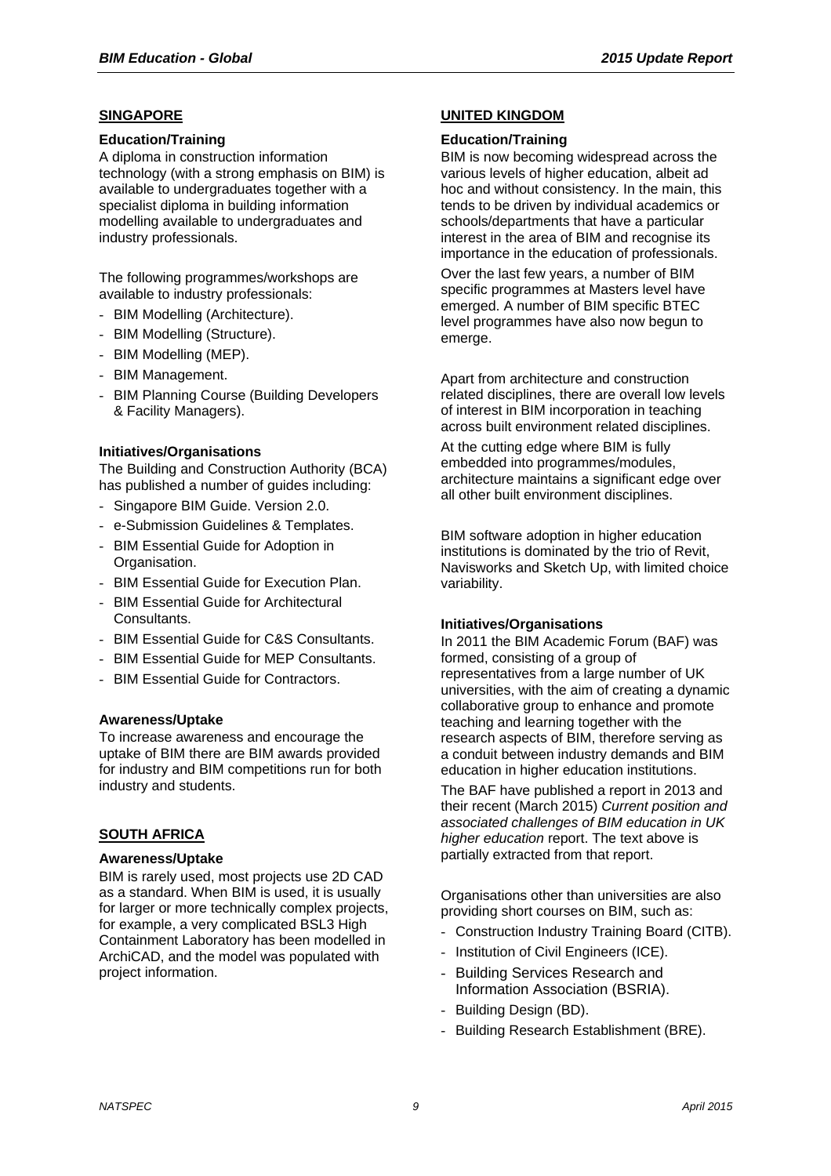## **SINGAPORE**

#### **Education/Training**

A diploma in construction information technology (with a strong emphasis on BIM) is available to undergraduates together with a specialist diploma in building information modelling available to undergraduates and industry professionals.

The following programmes/workshops are available to industry professionals:

- BIM Modelling (Architecture).
- BIM Modelling (Structure).
- BIM Modelling (MEP).
- BIM Management.
- BIM Planning Course (Building Developers & Facility Managers).

## **Initiatives/Organisations**

The Building and Construction Authority (BCA) has published a number of guides including:

- Singapore BIM Guide. Version 2.0.
- e-Submission Guidelines & Templates.
- BIM Essential Guide for Adoption in Organisation.
- BIM Essential Guide for Execution Plan.
- BIM Essential Guide for Architectural Consultants.
- BIM Essential Guide for C&S Consultants.
- BIM Essential Guide for MEP Consultants.
- BIM Essential Guide for Contractors.

## **Awareness/Uptake**

To increase awareness and encourage the uptake of BIM there are BIM awards provided for industry and BIM competitions run for both industry and students.

## **SOUTH AFRICA**

#### **Awareness/Uptake**

BIM is rarely used, most projects use 2D CAD as a standard. When BIM is used, it is usually for larger or more technically complex projects, for example, a very complicated BSL3 High Containment Laboratory has been modelled in ArchiCAD, and the model was populated with project information.

#### **UNITED KINGDOM**

#### **Education/Training**

BIM is now becoming widespread across the various levels of higher education, albeit ad hoc and without consistency. In the main, this tends to be driven by individual academics or schools/departments that have a particular interest in the area of BIM and recognise its importance in the education of professionals.

Over the last few years, a number of BIM specific programmes at Masters level have emerged. A number of BIM specific BTEC level programmes have also now begun to emerge.

Apart from architecture and construction related disciplines, there are overall low levels of interest in BIM incorporation in teaching across built environment related disciplines.

At the cutting edge where BIM is fully embedded into programmes/modules, architecture maintains a significant edge over all other built environment disciplines.

BIM software adoption in higher education institutions is dominated by the trio of Revit, Navisworks and Sketch Up, with limited choice variability.

#### **Initiatives/Organisations**

In 2011 the BIM Academic Forum (BAF) was formed, consisting of a group of representatives from a large number of UK universities, with the aim of creating a dynamic collaborative group to enhance and promote teaching and learning together with the research aspects of BIM, therefore serving as a conduit between industry demands and BIM education in higher education institutions.

The BAF have published a report in 2013 and their recent (March 2015) *Current position and associated challenges of BIM education in UK higher education* report. The text above is partially extracted from that report.

Organisations other than universities are also providing short courses on BIM, such as:

- Construction Industry Training Board (CITB).
- Institution of Civil Engineers (ICE).
- Building Services Research and Information Association (BSRIA).
- Building Design (BD).
- Building Research Establishment (BRE).